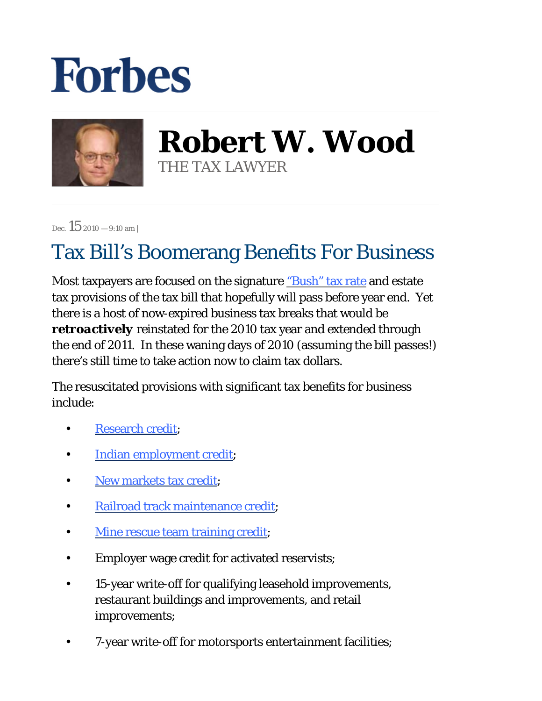## **Forbes**



**Robert W. Wood** THE TAX LAWYER

Dec.  $15$  2010 – 9:10 am |

## Tax Bill's Boomerang Benefits For Business

Most taxpayers are focused on the signature ["Bush" tax rate](http://blogs.forbes.com/robertwood/2010/11/24/bush-tax-cuts-better-by-another-name/) and estate tax provisions of the tax bill that hopefully will pass before year end. Yet there is a host of now-expired business tax breaks that would be *retroactively* reinstated for the 2010 tax year and extended through the end of 2011. In these waning days of 2010 (assuming the bill passes!) there's still time to take action now to claim tax dollars.

The resuscitated provisions with significant tax benefits for business include:

- [Research credit](http://www.irs.gov/businesses/article/0,,id=101382,00.html);
- [Indian employment credit](http://www.irs.gov/efile/article/0,,id=215487,00.html);
- [New markets tax credit](http://www.irs.gov/businesses/article/0,,id=223578,00.html);
- [Railroad track maintenance credit](http://www.irs.gov/efile/article/0,,id=204653,00.html);
- [Mine rescue team training credit](http://www.irs.gov/pub/irs-pdf/f8923.pdf);
- Employer wage credit for activated reservists;
- 15-year write-off for qualifying leasehold improvements, restaurant buildings and improvements, and retail improvements; •
- 7-year write-off for motorsports entertainment facilities;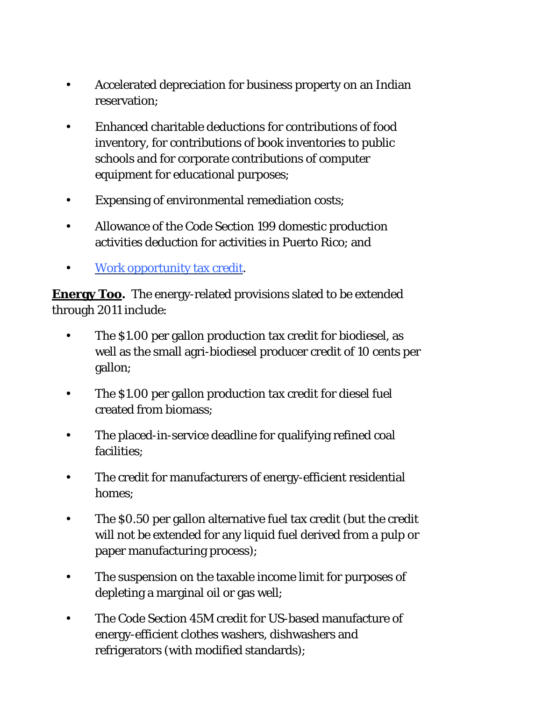- Accelerated depreciation for business property on an Indian reservation; •
- Enhanced charitable deductions for contributions of food inventory, for contributions of book inventories to public schools and for corporate contributions of computer equipment for educational purposes; •
- Expensing of environmental remediation costs;
- Allowance of the Code Section 199 domestic production activities deduction for activities in Puerto Rico; and •
- [Work opportunity tax credit.](http://www.irs.gov/formspubs/article/0,,id=177948,00.html)

**Energy Too.** The energy-related provisions slated to be extended through 2011 include:

- The \$1.00 per gallon production tax credit for biodiesel, as well as the small agri-biodiesel producer credit of 10 cents per gallon; •
- The \$1.00 per gallon production tax credit for diesel fuel created from biomass; •
- The placed-in-service deadline for qualifying refined coal facilities; •
- The credit for manufacturers of energy-efficient residential homes; •
- The \$0.50 per gallon alternative fuel tax credit (but the credit will not be extended for any liquid fuel derived from a pulp or paper manufacturing process); •
- The suspension on the taxable income limit for purposes of depleting a marginal oil or gas well; •
- The Code Section 45M credit for US-based manufacture of energy-efficient clothes washers, dishwashers and refrigerators (with modified standards); •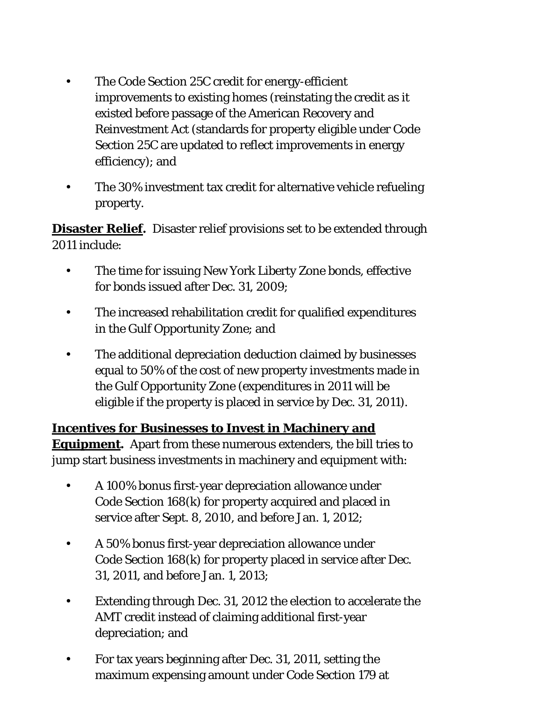- The Code Section 25C credit for energy-efficient improvements to existing homes (reinstating the credit as it existed before passage of the American Recovery and Reinvestment Act (standards for property eligible under Code Section 25C are updated to reflect improvements in energy efficiency); and •
- The 30% investment tax credit for alternative vehicle refueling property. •

**Disaster Relief***.* Disaster relief provisions set to be extended through 2011 include:

- The time for issuing New York Liberty Zone bonds, effective for bonds issued after Dec. 31, 2009; •
- The increased rehabilitation credit for qualified expenditures in the Gulf Opportunity Zone; and •
- The additional depreciation deduction claimed by businesses equal to 50% of the cost of new property investments made in the Gulf Opportunity Zone (expenditures in 2011 will be eligible if the property is placed in service by Dec. 31, 2011). •

**Incentives for Businesses to Invest in Machinery and Equipment***.* Apart from these numerous extenders, the bill tries to jump start business investments in machinery and equipment with:

- A 100% bonus first-year depreciation allowance under Code Section 168(k) for property acquired and placed in service after Sept. 8, 2010, and before Jan. 1, 2012; •
- A 50% bonus first-year depreciation allowance under Code Section 168(k) for property placed in service after Dec. 31, 2011, and before Jan. 1, 2013; •
- Extending through Dec. 31, 2012 the election to accelerate the AMT credit instead of claiming additional first-year depreciation; and •
- For tax years beginning after Dec. 31, 2011, setting the maximum expensing amount under Code Section 179 at •